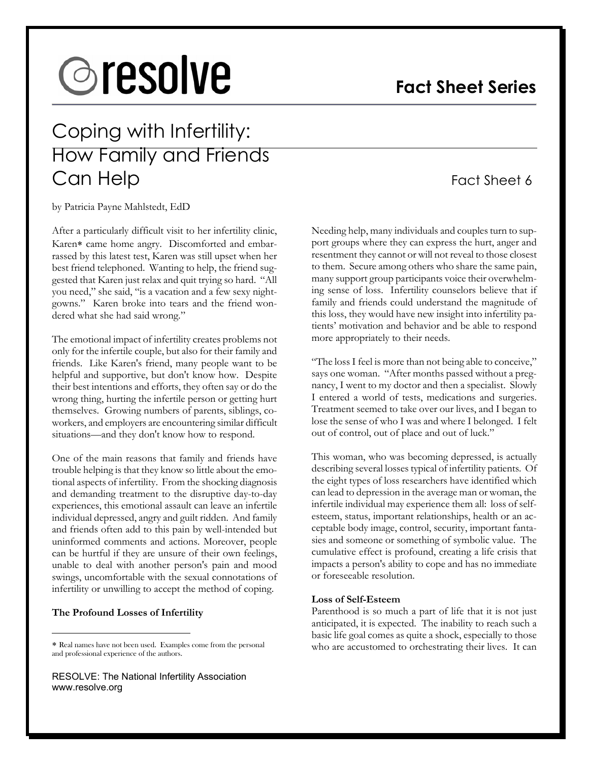# **@resolve**

## **Fact Sheet Series**

## Coping with Infertility: How Family and Friends Can Help Fact Sheet 6

by Patricia Payne Mahlstedt, EdD

After a particularly difficult visit to her infertility clinic, Karen∗ came home angry. Discomforted and embarrassed by this latest test, Karen was still upset when her best friend telephoned. Wanting to help, the friend suggested that Karen just relax and quit trying so hard. "All you need," she said, "is a vacation and a few sexy nightgowns." Karen broke into tears and the friend wondered what she had said wrong."

The emotional impact of infertility creates problems not only for the infertile couple, but also for their family and friends. Like Karen's friend, many people want to be helpful and supportive, but don't know how. Despite their best intentions and efforts, they often say or do the wrong thing, hurting the infertile person or getting hurt themselves. Growing numbers of parents, siblings, coworkers, and employers are encountering similar difficult situations—and they don't know how to respond.

One of the main reasons that family and friends have trouble helping is that they know so little about the emotional aspects of infertility. From the shocking diagnosis and demanding treatment to the disruptive day-to-day experiences, this emotional assault can leave an infertile individual depressed, angry and guilt ridden. And family and friends often add to this pain by well-intended but uninformed comments and actions. Moreover, people can be hurtful if they are unsure of their own feelings, unable to deal with another person's pain and mood swings, uncomfortable with the sexual connotations of infertility or unwilling to accept the method of coping.

#### **The Profound Losses of Infertility**

 $\overline{a}$ 

RESOLVE: The National Infertility Association www.resolve.org

Needing help, many individuals and couples turn to support groups where they can express the hurt, anger and resentment they cannot or will not reveal to those closest to them. Secure among others who share the same pain, many support group participants voice their overwhelming sense of loss. Infertility counselors believe that if family and friends could understand the magnitude of this loss, they would have new insight into infertility patients' motivation and behavior and be able to respond more appropriately to their needs.

"The loss I feel is more than not being able to conceive," says one woman. "After months passed without a pregnancy, I went to my doctor and then a specialist. Slowly I entered a world of tests, medications and surgeries. Treatment seemed to take over our lives, and I began to lose the sense of who I was and where I belonged. I felt out of control, out of place and out of luck."

This woman, who was becoming depressed, is actually describing several losses typical of infertility patients. Of the eight types of loss researchers have identified which can lead to depression in the average man or woman, the infertile individual may experience them all: loss of selfesteem, status, important relationships, health or an acceptable body image, control, security, important fantasies and someone or something of symbolic value. The cumulative effect is profound, creating a life crisis that impacts a person's ability to cope and has no immediate or foreseeable resolution.

#### **Loss of Self-Esteem**

Parenthood is so much a part of life that it is not just anticipated, it is expected. The inability to reach such a basic life goal comes as quite a shock, especially to those who are accustomed to orchestrating their lives. It can

<sup>∗</sup> Real names have not been used. Examples come from the personal and professional experience of the authors.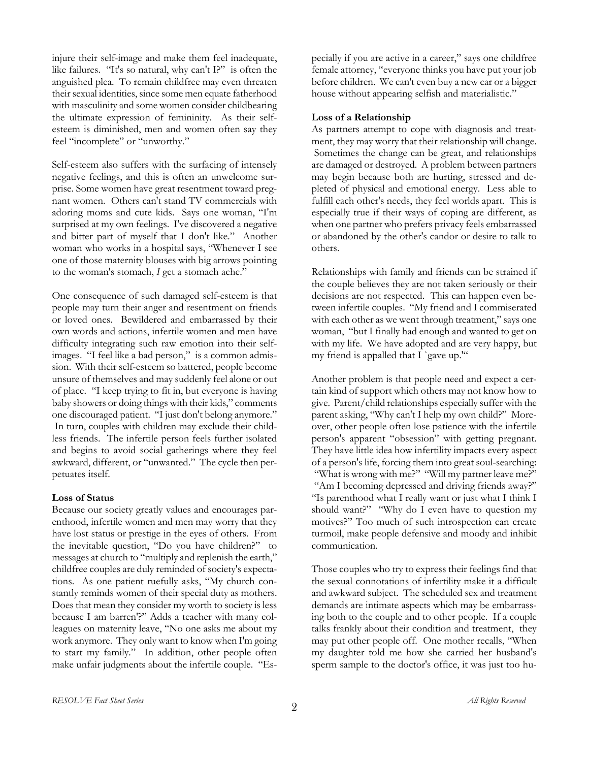injure their self-image and make them feel inadequate, like failures. "It's so natural, why can't I?" is often the anguished plea. To remain childfree may even threaten their sexual identities, since some men equate fatherhood with masculinity and some women consider childbearing the ultimate expression of femininity. As their selfesteem is diminished, men and women often say they feel "incomplete" or "unworthy."

Self-esteem also suffers with the surfacing of intensely negative feelings, and this is often an unwelcome surprise. Some women have great resentment toward pregnant women. Others can't stand TV commercials with adoring moms and cute kids. Says one woman, "I'm surprised at my own feelings. I've discovered a negative and bitter part of myself that I don't like." Another woman who works in a hospital says, "Whenever I see one of those maternity blouses with big arrows pointing to the woman's stomach, *I* get a stomach ache."

One consequence of such damaged self-esteem is that people may turn their anger and resentment on friends or loved ones. Bewildered and embarrassed by their own words and actions, infertile women and men have difficulty integrating such raw emotion into their selfimages. "I feel like a bad person," is a common admission. With their self-esteem so battered, people become unsure of themselves and may suddenly feel alone or out of place. "I keep trying to fit in, but everyone is having baby showers or doing things with their kids," comments one discouraged patient. "I just don't belong anymore." In turn, couples with children may exclude their childless friends. The infertile person feels further isolated and begins to avoid social gatherings where they feel awkward, different, or "unwanted." The cycle then perpetuates itself.

#### **Loss of Status**

Because our society greatly values and encourages parenthood, infertile women and men may worry that they have lost status or prestige in the eyes of others. From the inevitable question, "Do you have children?" to messages at church to "multiply and replenish the earth," childfree couples are duly reminded of society's expectations. As one patient ruefully asks, "My church constantly reminds women of their special duty as mothers. Does that mean they consider my worth to society is less because I am barren'?" Adds a teacher with many colleagues on maternity leave, "No one asks me about my work anymore. They only want to know when I'm going to start my family." In addition, other people often make unfair judgments about the infertile couple. "Especially if you are active in a career," says one childfree female attorney, "everyone thinks you have put your job before children. We can't even buy a new car or a bigger house without appearing selfish and materialistic."

#### **Loss of a Relationship**

As partners attempt to cope with diagnosis and treatment, they may worry that their relationship will change. Sometimes the change can be great, and relationships are damaged or destroyed. A problem between partners may begin because both are hurting, stressed and depleted of physical and emotional energy. Less able to fulfill each other's needs, they feel worlds apart. This is especially true if their ways of coping are different, as when one partner who prefers privacy feels embarrassed or abandoned by the other's candor or desire to talk to others.

Relationships with family and friends can be strained if the couple believes they are not taken seriously or their decisions are not respected. This can happen even between infertile couples. "My friend and I commiserated with each other as we went through treatment," says one woman, "but I finally had enough and wanted to get on with my life. We have adopted and are very happy, but my friend is appalled that I `gave up.""

Another problem is that people need and expect a certain kind of support which others may not know how to give. Parent/child relationships especially suffer with the parent asking, "Why can't I help my own child?" Moreover, other people often lose patience with the infertile person's apparent "obsession" with getting pregnant. They have little idea how infertility impacts every aspect of a person's life, forcing them into great soul-searching: "What is wrong with me?" "Will my partner leave me?" "Am I becoming depressed and driving friends away?" "Is parenthood what I really want or just what I think I should want?" "Why do I even have to question my motives?" Too much of such introspection can create turmoil, make people defensive and moody and inhibit communication.

Those couples who try to express their feelings find that the sexual connotations of infertility make it a difficult and awkward subject. The scheduled sex and treatment demands are intimate aspects which may be embarrassing both to the couple and to other people. If a couple talks frankly about their condition and treatment, they may put other people off. One mother recalls, "When my daughter told me how she carried her husband's sperm sample to the doctor's office, it was just too hu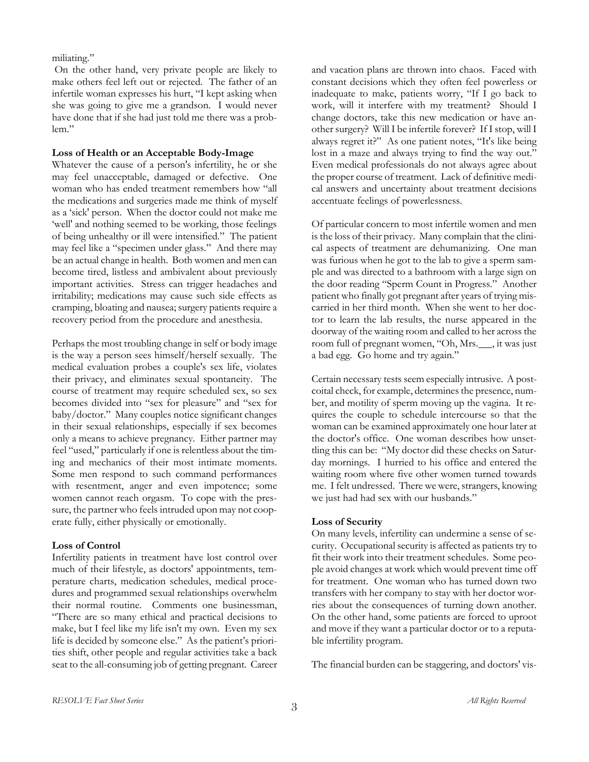miliating."

 On the other hand, very private people are likely to make others feel left out or rejected. The father of an infertile woman expresses his hurt, "I kept asking when she was going to give me a grandson. I would never have done that if she had just told me there was a problem."

#### **Loss of Health or an Acceptable Body-Image**

Whatever the cause of a person's infertility, he or she may feel unacceptable, damaged or defective. One woman who has ended treatment remembers how "all the medications and surgeries made me think of myself as a 'sick' person. When the doctor could not make me 'well' and nothing seemed to be working, those feelings of being unhealthy or ill were intensified." The patient may feel like a "specimen under glass." And there may be an actual change in health. Both women and men can become tired, listless and ambivalent about previously important activities. Stress can trigger headaches and irritability; medications may cause such side effects as cramping, bloating and nausea; surgery patients require a recovery period from the procedure and anesthesia.

Perhaps the most troubling change in self or body image is the way a person sees himself/herself sexually. The medical evaluation probes a couple's sex life, violates their privacy, and eliminates sexual spontaneity. The course of treatment may require scheduled sex, so sex becomes divided into "sex for pleasure" and "sex for baby/doctor." Many couples notice significant changes in their sexual relationships, especially if sex becomes only a means to achieve pregnancy. Either partner may feel "used," particularly if one is relentless about the timing and mechanics of their most intimate moments. Some men respond to such command performances with resentment, anger and even impotence; some women cannot reach orgasm. To cope with the pressure, the partner who feels intruded upon may not cooperate fully, either physically or emotionally.

### **Loss of Control**

Infertility patients in treatment have lost control over much of their lifestyle, as doctors' appointments, temperature charts, medication schedules, medical procedures and programmed sexual relationships overwhelm their normal routine. Comments one businessman, "There are so many ethical and practical decisions to make, but I feel like my life isn't my own. Even my sex life is decided by someone else." As the patient's priorities shift, other people and regular activities take a back seat to the all-consuming job of getting pregnant. Career and vacation plans are thrown into chaos. Faced with constant decisions which they often feel powerless or inadequate to make, patients worry, "If I go back to work, will it interfere with my treatment? Should I change doctors, take this new medication or have another surgery? Will I be infertile forever? If I stop, will I always regret it?" As one patient notes, "It's like being lost in a maze and always trying to find the way out." Even medical professionals do not always agree about the proper course of treatment. Lack of definitive medical answers and uncertainty about treatment decisions accentuate feelings of powerlessness.

Of particular concern to most infertile women and men is the loss of their privacy. Many complain that the clinical aspects of treatment are dehumanizing. One man was furious when he got to the lab to give a sperm sample and was directed to a bathroom with a large sign on the door reading "Sperm Count in Progress." Another patient who finally got pregnant after years of trying miscarried in her third month. When she went to her doctor to learn the lab results, the nurse appeared in the doorway of the waiting room and called to her across the room full of pregnant women, "Oh, Mrs.\_\_, it was just a bad egg. Go home and try again."

Certain necessary tests seem especially intrusive. A postcoital check, for example, determines the presence, number, and motility of sperm moving up the vagina. It requires the couple to schedule intercourse so that the woman can be examined approximately one hour later at the doctor's office. One woman describes how unsettling this can be: "My doctor did these checks on Saturday mornings. I hurried to his office and entered the waiting room where five other women turned towards me. I felt undressed. There we were, strangers, knowing we just had had sex with our husbands."

### **Loss of Security**

On many levels, infertility can undermine a sense of security. Occupational security is affected as patients try to fit their work into their treatment schedules. Some people avoid changes at work which would prevent time off for treatment. One woman who has turned down two transfers with her company to stay with her doctor worries about the consequences of turning down another. On the other hand, some patients are forced to uproot and move if they want a particular doctor or to a reputable infertility program.

The financial burden can be staggering, and doctors' vis-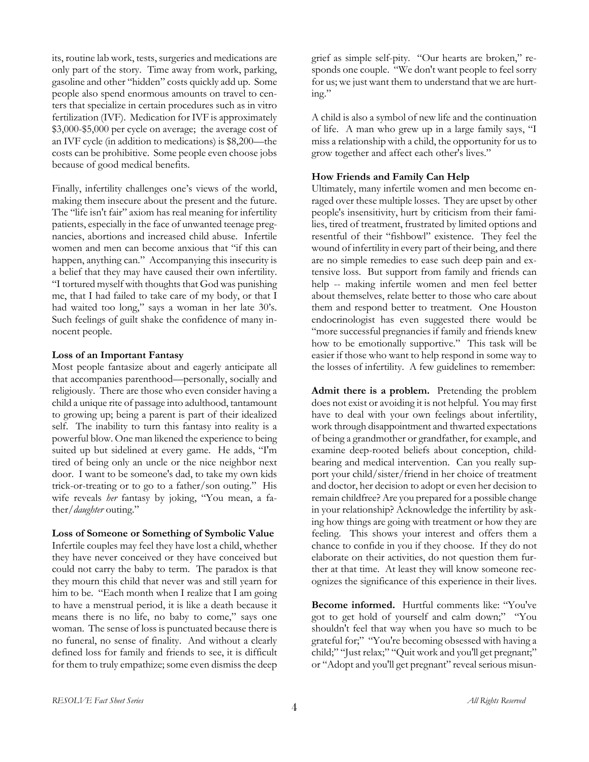its, routine lab work, tests, surgeries and medications are only part of the story. Time away from work, parking, gasoline and other "hidden" costs quickly add up. Some people also spend enormous amounts on travel to centers that specialize in certain procedures such as in vitro fertilization (IVF). Medication for IVF is approximately \$3,000-\$5,000 per cycle on average; the average cost of an IVF cycle (in addition to medications) is \$8,200—the costs can be prohibitive. Some people even choose jobs because of good medical benefits.

Finally, infertility challenges one's views of the world, making them insecure about the present and the future. The "life isn't fair" axiom has real meaning for infertility patients, especially in the face of unwanted teenage pregnancies, abortions and increased child abuse. Infertile women and men can become anxious that "if this can happen, anything can." Accompanying this insecurity is a belief that they may have caused their own infertility. "I tortured myself with thoughts that God was punishing me, that I had failed to take care of my body, or that I had waited too long," says a woman in her late 30's. Such feelings of guilt shake the confidence of many innocent people.

#### **Loss of an Important Fantasy**

Most people fantasize about and eagerly anticipate all that accompanies parenthood—personally, socially and religiously. There are those who even consider having a child a unique rite of passage into adulthood, tantamount to growing up; being a parent is part of their idealized self. The inability to turn this fantasy into reality is a powerful blow. One man likened the experience to being suited up but sidelined at every game. He adds, "I'm tired of being only an uncle or the nice neighbor next door. I want to be someone's dad, to take my own kids trick-or-treating or to go to a father/son outing." His wife reveals *her* fantasy by joking, "You mean, a father/*daughter* outing."

#### **Loss of Someone or Something of Symbolic Value**

Infertile couples may feel they have lost a child, whether they have never conceived or they have conceived but could not carry the baby to term. The paradox is that they mourn this child that never was and still yearn for him to be. "Each month when I realize that I am going to have a menstrual period, it is like a death because it means there is no life, no baby to come," says one woman. The sense of loss is punctuated because there is no funeral, no sense of finality. And without a clearly defined loss for family and friends to see, it is difficult for them to truly empathize; some even dismiss the deep grief as simple self-pity. "Our hearts are broken," responds one couple. "We don't want people to feel sorry for us; we just want them to understand that we are hurting."

A child is also a symbol of new life and the continuation of life. A man who grew up in a large family says, "I miss a relationship with a child, the opportunity for us to grow together and affect each other's lives."

#### **How Friends and Family Can Help**

Ultimately, many infertile women and men become enraged over these multiple losses. They are upset by other people's insensitivity, hurt by criticism from their families, tired of treatment, frustrated by limited options and resentful of their "fishbowl" existence. They feel the wound of infertility in every part of their being, and there are no simple remedies to ease such deep pain and extensive loss. But support from family and friends can help -- making infertile women and men feel better about themselves, relate better to those who care about them and respond better to treatment. One Houston endocrinologist has even suggested there would be "more successful pregnancies if family and friends knew how to be emotionally supportive." This task will be easier if those who want to help respond in some way to the losses of infertility. A few guidelines to remember:

**Admit there is a problem.** Pretending the problem does not exist or avoiding it is not helpful. You may first have to deal with your own feelings about infertility, work through disappointment and thwarted expectations of being a grandmother or grandfather, for example, and examine deep-rooted beliefs about conception, childbearing and medical intervention. Can you really support your child/sister/friend in her choice of treatment and doctor, her decision to adopt or even her decision to remain childfree? Are you prepared for a possible change in your relationship? Acknowledge the infertility by asking how things are going with treatment or how they are feeling. This shows your interest and offers them a chance to confide in you if they choose. If they do not elaborate on their activities, do not question them further at that time. At least they will know someone recognizes the significance of this experience in their lives.

**Become informed.** Hurtful comments like: "You've got to get hold of yourself and calm down;" "You shouldn't feel that way when you have so much to be grateful for;" "You're becoming obsessed with having a child;" "Just relax;" "Quit work and you'll get pregnant;" or "Adopt and you'll get pregnant" reveal serious misun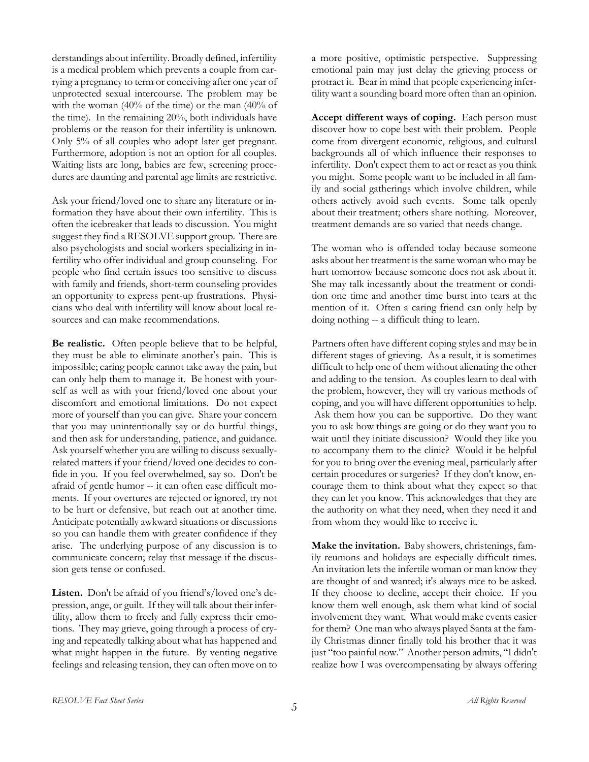derstandings about infertility. Broadly defined, infertility is a medical problem which prevents a couple from carrying a pregnancy to term or conceiving after one year of unprotected sexual intercourse. The problem may be with the woman (40% of the time) or the man (40% of the time). In the remaining 20%, both individuals have problems or the reason for their infertility is unknown. Only 5% of all couples who adopt later get pregnant. Furthermore, adoption is not an option for all couples. Waiting lists are long, babies are few, screening procedures are daunting and parental age limits are restrictive.

Ask your friend/loved one to share any literature or information they have about their own infertility. This is often the icebreaker that leads to discussion. You might suggest they find a RESOLVE support group. There are also psychologists and social workers specializing in infertility who offer individual and group counseling. For people who find certain issues too sensitive to discuss with family and friends, short-term counseling provides an opportunity to express pent-up frustrations. Physicians who deal with infertility will know about local resources and can make recommendations.

**Be realistic.** Often people believe that to be helpful, they must be able to eliminate another's pain. This is impossible; caring people cannot take away the pain, but can only help them to manage it. Be honest with yourself as well as with your friend/loved one about your discomfort and emotional limitations. Do not expect more of yourself than you can give. Share your concern that you may unintentionally say or do hurtful things, and then ask for understanding, patience, and guidance. Ask yourself whether you are willing to discuss sexuallyrelated matters if your friend/loved one decides to confide in you. If you feel overwhelmed, say so. Don't be afraid of gentle humor -- it can often ease difficult moments. If your overtures are rejected or ignored, try not to be hurt or defensive, but reach out at another time. Anticipate potentially awkward situations or discussions so you can handle them with greater confidence if they arise. The underlying purpose of any discussion is to communicate concern; relay that message if the discussion gets tense or confused.

**Listen.** Don't be afraid of you friend's/loved one's depression, ange, or guilt. If they will talk about their infertility, allow them to freely and fully express their emotions. They may grieve, going through a process of crying and repeatedly talking about what has happened and what might happen in the future. By venting negative feelings and releasing tension, they can often move on to a more positive, optimistic perspective. Suppressing emotional pain may just delay the grieving process or protract it. Bear in mind that people experiencing infertility want a sounding board more often than an opinion.

**Accept different ways of coping.** Each person must discover how to cope best with their problem. People come from divergent economic, religious, and cultural backgrounds all of which influence their responses to infertility. Don't expect them to act or react as you think you might. Some people want to be included in all family and social gatherings which involve children, while others actively avoid such events. Some talk openly about their treatment; others share nothing. Moreover, treatment demands are so varied that needs change.

The woman who is offended today because someone asks about her treatment is the same woman who may be hurt tomorrow because someone does not ask about it. She may talk incessantly about the treatment or condition one time and another time burst into tears at the mention of it. Often a caring friend can only help by doing nothing -- a difficult thing to learn.

Partners often have different coping styles and may be in different stages of grieving. As a result, it is sometimes difficult to help one of them without alienating the other and adding to the tension. As couples learn to deal with the problem, however, they will try various methods of coping, and you will have different opportunities to help. Ask them how you can be supportive. Do they want you to ask how things are going or do they want you to wait until they initiate discussion? Would they like you to accompany them to the clinic? Would it be helpful for you to bring over the evening meal, particularly after certain procedures or surgeries? If they don't know, encourage them to think about what they expect so that they can let you know. This acknowledges that they are the authority on what they need, when they need it and from whom they would like to receive it.

**Make the invitation.** Baby showers, christenings, family reunions and holidays are especially difficult times. An invitation lets the infertile woman or man know they are thought of and wanted; it's always nice to be asked. If they choose to decline, accept their choice. If you know them well enough, ask them what kind of social involvement they want. What would make events easier for them? One man who always played Santa at the family Christmas dinner finally told his brother that it was just "too painful now." Another person admits, "I didn't realize how I was overcompensating by always offering